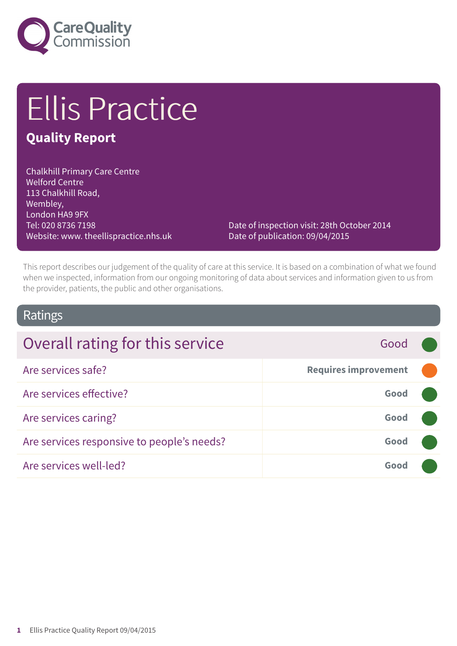

# Ellis Practice

### **Quality Report**

Chalkhill Primary Care Centre Welford Centre 113 Chalkhill Road, Wembley, London HA9 9FX Tel: 020 8736 7198 Website: www. theellispractice.nhs.uk

Date of inspection visit: 28th October 2014 Date of publication: 09/04/2015

This report describes our judgement of the quality of care at this service. It is based on a combination of what we found when we inspected, information from our ongoing monitoring of data about services and information given to us from the provider, patients, the public and other organisations.

### Ratings

| Overall rating for this service            | Good                        |  |
|--------------------------------------------|-----------------------------|--|
| Are services safe?                         | <b>Requires improvement</b> |  |
| Are services effective?                    | Good                        |  |
| Are services caring?                       | Good                        |  |
| Are services responsive to people's needs? | Good                        |  |
| Are services well-led?                     | Good                        |  |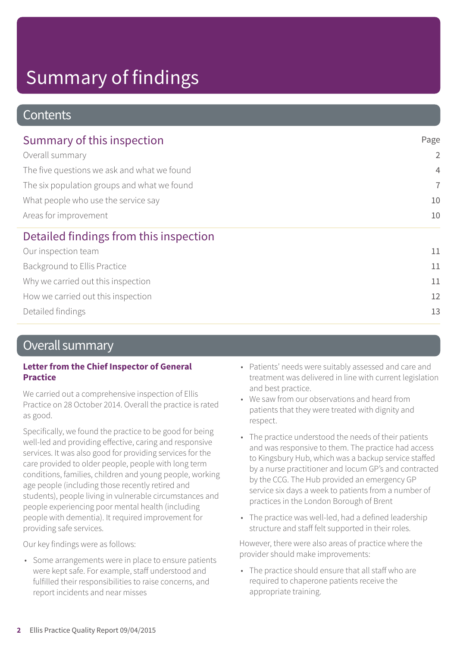# Summary of findings

### **Contents**

| Summary of this inspection                                                                                                                                                    | Page           |
|-------------------------------------------------------------------------------------------------------------------------------------------------------------------------------|----------------|
| Overall summary<br>The five questions we ask and what we found<br>The six population groups and what we found<br>What people who use the service say<br>Areas for improvement | $\overline{2}$ |
|                                                                                                                                                                               | $\overline{4}$ |
|                                                                                                                                                                               | $\overline{7}$ |
|                                                                                                                                                                               | 10             |
|                                                                                                                                                                               | 10             |
| Detailed findings from this inspection                                                                                                                                        |                |
| Our inspection team                                                                                                                                                           | 11             |
| Background to Ellis Practice                                                                                                                                                  | 11             |
| Why we carried out this inspection                                                                                                                                            | 11             |
| How we carried out this inspection                                                                                                                                            | 12             |
| Detailed findings                                                                                                                                                             | 13             |

### Overall summary

#### **Letter from the Chief Inspector of General Practice**

We carried out a comprehensive inspection of Ellis Practice on 28 October 2014. Overall the practice is rated as good.

Specifically, we found the practice to be good for being well-led and providing effective, caring and responsive services. It was also good for providing services for the care provided to older people, people with long term conditions, families, children and young people, working age people (including those recently retired and students), people living in vulnerable circumstances and people experiencing poor mental health (including people with dementia). It required improvement for providing safe services.

Our key findings were as follows:

• Some arrangements were in place to ensure patients were kept safe. For example, staff understood and fulfilled their responsibilities to raise concerns, and report incidents and near misses

- Patients' needs were suitably assessed and care and treatment was delivered in line with current legislation and best practice.
- We saw from our observations and heard from patients that they were treated with dignity and respect.
- The practice understood the needs of their patients and was responsive to them. The practice had access to Kingsbury Hub, which was a backup service staffed by a nurse practitioner and locum GP's and contracted by the CCG. The Hub provided an emergency GP service six days a week to patients from a number of practices in the London Borough of Brent
- The practice was well-led, had a defined leadership structure and staff felt supported in their roles.

However, there were also areas of practice where the provider should make improvements:

• The practice should ensure that all staff who are required to chaperone patients receive the appropriate training.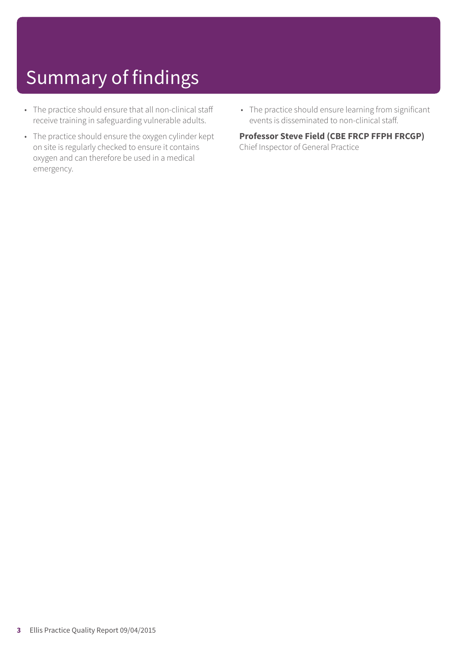# Summary of findings

- The practice should ensure that all non-clinical staff receive training in safeguarding vulnerable adults.
- The practice should ensure the oxygen cylinder kept on site is regularly checked to ensure it contains oxygen and can therefore be used in a medical emergency.
- The practice should ensure learning from significant events is disseminated to non-clinical staff.

#### **Professor Steve Field (CBE FRCP FFPH FRCGP)**

Chief Inspector of General Practice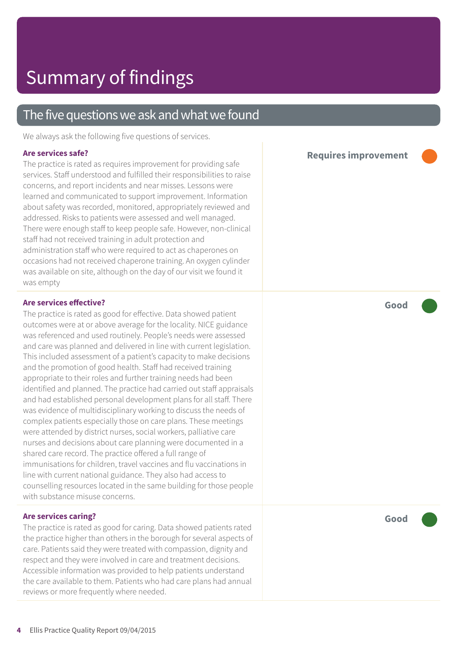### The five questions we ask and what we found

We always ask the following five questions of services.

#### **Are services safe?**

The practice is rated as requires improvement for providing safe services. Staff understood and fulfilled their responsibilities to raise concerns, and report incidents and near misses. Lessons were learned and communicated to support improvement. Information about safety was recorded, monitored, appropriately reviewed and addressed. Risks to patients were assessed and well managed. There were enough staff to keep people safe. However, non-clinical staff had not received training in adult protection and administration staff who were required to act as chaperones on occasions had not received chaperone training. An oxygen cylinder was available on site, although on the day of our visit we found it was empty

#### **Are services effective?**

The practice is rated as good for effective. Data showed patient outcomes were at or above average for the locality. NICE guidance was referenced and used routinely. People's needs were assessed and care was planned and delivered in line with current legislation. This included assessment of a patient's capacity to make decisions and the promotion of good health. Staff had received training appropriate to their roles and further training needs had been identified and planned. The practice had carried out staff appraisals and had established personal development plans for all staff. There was evidence of multidisciplinary working to discuss the needs of complex patients especially those on care plans. These meetings were attended by district nurses, social workers, palliative care nurses and decisions about care planning were documented in a shared care record. The practice offered a full range of immunisations for children, travel vaccines and flu vaccinations in line with current national guidance. They also had access to counselling resources located in the same building for those people with substance misuse concerns.

#### **Are services caring?**

The practice is rated as good for caring. Data showed patients rated the practice higher than others in the borough for several aspects of care. Patients said they were treated with compassion, dignity and respect and they were involved in care and treatment decisions. Accessible information was provided to help patients understand the care available to them. Patients who had care plans had annual reviews or more frequently where needed.

**Requires improvement –––**

**Good –––**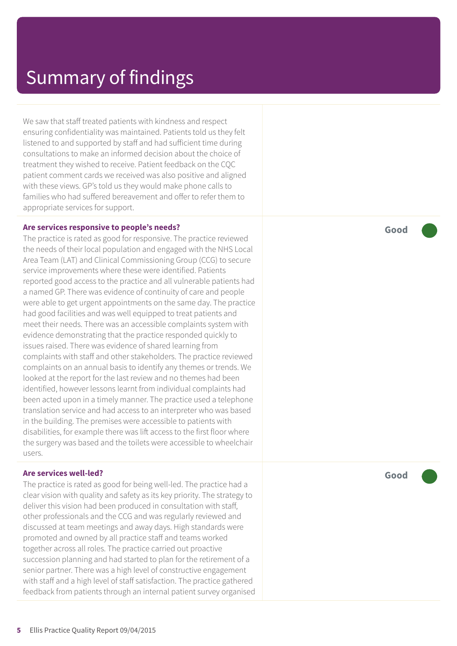We saw that staff treated patients with kindness and respect ensuring confidentiality was maintained. Patients told us the y felt listened t o and supported by staff and had sufficient time during consultations t o mak e an informed decision about the choic e of treatment they wished to receive. Patient feedback on the CQC patient comment cards we received was also positive and aligned with these views. GP's told us they would make phone calls to families who had suffered ber eavement and offer t o refer them t o appropriat e services for support.

#### **Ar e services responsive t o people ' s needs ?**

The practice is rated as good for responsive. The practice reviewed the needs of their local population and engaged with the NHS Local Ar e a T eam (L AT) and Clinical Commissioning Group (C CG) t o secur e servic e improvements wher e these wer e identified. Patients reported good ac cess t o the practic e and all vulnerable patients had a named GP. Ther e was evidenc e of continuity of car e and people were able to get urgent appointments on the same day. The practice had good facilities and was well equipped t o tr eat patients and meet their needs. There was an accessible complaints system with evidenc e demonstrating that the practic e responded quickly t o issues raised. Ther e was evidenc e of shared learning from complaints with staff and other stakeholders. The practice reviewed complaints on an annual basis t o identify any themes or trends. We looked at the report for the last review and no themes had been identified, however lessons learnt from individual complaints had been acted upon in a timely manner. The practic e used a telephone translation servic e and had ac cess t o an interpr e ter who was based in the building. The premises wer e ac cessible t o patients with disabilities, for example ther e was lift ac cess t o the first floor wher e the surgery was based and the toilets were accessible to wheelchair users.

#### **Ar e services well-led?**

The practice is rated as good for being well-led. The practice had a clear vision with quality and saf ety as its k e y priority. The strat egy t o deliver this vision had been produced in consultation with staff, other professionals and the C C G and was r egularly r eviewed and discussed at t eam meetings and away days. High standards wer e promoted and owned by all practic e staff and t eams worked together across all roles. The practice carried out proactive suc cession planning and had started t o plan for the r etirement of a senior partner. Ther e was a high level of constructive engagement with staff and a high level of staff satisfaction. The practic e gathered feedback from patients through an internal patient surve y or ganised **Good –––**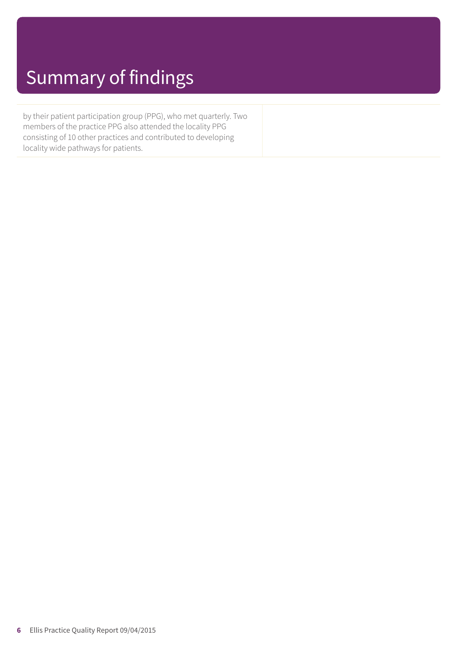# Summary of findings

by their patient participation group (PPG), who met quarterly. Two members of the practice PPG also attended the locality PPG consisting of 10 other practices and contributed to developing locality wide pathways for patients.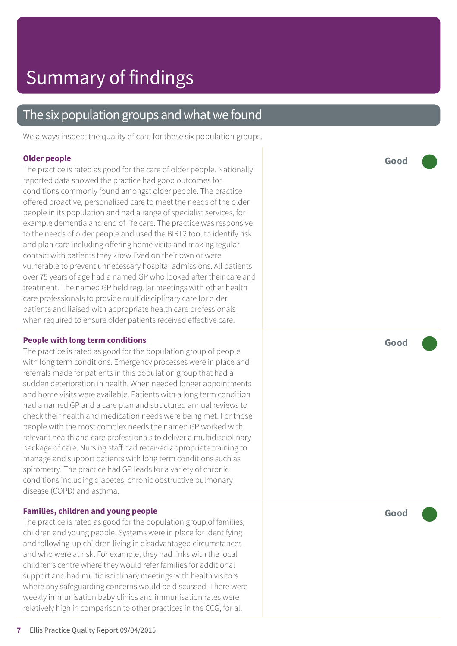### The six population groups and what we found

We always inspect the quality of care for these six population groups.

#### **Older people**

The practice is rated as good for the care of older people. Nationally reported dat a showed the practic e had good out comes for conditions commonly found amongst older people. The practice offered pr oactive, personalised car e t o mee t the needs of the older people in its population and had a rang e of specialist services, for example dementia and end of lif e care. The practic e was responsive t o the needs of older people and used the BIRT2 tool t o identify risk and plan car e including offering home visits and making r egular contact with patients they knew lived on their own or were vulnerable t o pr event unnecessar y hospital admissions. All patients over 75 year s of ag e had a named GP who looked after their car e and treatment. The named GP held regular meetings with other health care professionals to provide multidisciplinary care for older patients and liaised with appropriat e health car e professionals when required to ensure older patients received effective care.

#### **People with long term conditions**

The practice is rated as good for the population group of people with long term conditions. Emer genc y processes wer e in plac e and referrals made for patients in this population group that had a sudden de terioration in health. When needed longer appointments and home visits were available. Patients with a long term condition had a named GP and a care plan and structured annual reviews to check their health and medication needs wer e being me t. For those people with the most complex needs the named GP worked with relevant health and care professionals to deliver a multidisciplinary packag e of care. Nursing staff had received appropriat e training t o manage and support patients with long term conditions such as spirometr y. The practic e had GP leads for a variety of chronic conditions including diabe tes, chronic obstructive pulmonar y disease (COPD) and asthma.

#### **Families, children and young people**

The practice is rated as good for the population group of families, children and young people. Systems wer e in plac e for identifying and following-up children living in disadvantaged circumstances and who wer e at risk. For example, the y had links with the local children's centre where they would refer families for additional support and had multidisciplinar y meetings with health visitor s wher e any saf eguarding concerns would be discussed. Ther e wer e weekly immunisation baby clinics and immunisation rates wer e relatively high in comparison to other practices in the CCG, for all

**Good –––**

**Good –––**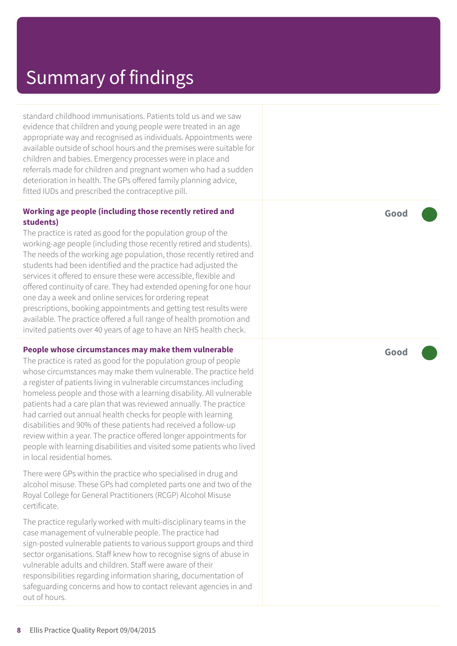### Summar y of findings

standar d childhood immunisations. Patients told us and we saw evidenc e that children and young people wer e tr eated in an ag e appropriat e way and recognised as individuals. Appointments wer e available outside of school hour s and the premises wer e suitable for children and babies. Emer genc y processes wer e in plac e and referrals made for children and pregnant women who had a sudden de terioration in health. The GP s offered family planning advice, fitted IUDs and prescribed the contraceptive pill.

#### **Working ag e people (including those recently r etired and students)**

The practice is rated as good for the population group of the working-ag e people (including those recently r etired and students). The needs of the working ag e population, those recently r etired and students had been identified and the practic e had adjusted the services it offered t o ensur e these wer e ac cessible, flexible and offered continuity of care. The y had extended opening for one hour one day a week and online services for ordering repeat prescriptions, booking appointments and getting test results were available. The practic e offered a full rang e of health promotion and invited patients over 40 year s of ag e t o have an NHS health check.

#### **People whose circumstances may mak e them vulnerable**

The practice is rated as good for the population group of people whose circumstances may mak e them vulnerable. The practic e held a r egister of patients living in vulnerable circumstances including homeless people and those with a learning disability. All vulnerable patients had a care plan that was reviewed annually. The practice had carried out annual health checks for people with learning disabilities and 90% of these patients had received a follow-up r evie w within a year. The practic e offered longer appointments for people with learning disabilities and visited some patients who lived in local residential homes.

There were GPs within the practice who specialised in drug and alcohol misuse. These GPs had completed parts one and two of the Royal Colle g e for General Practitioner s (RCGP) Alcohol Misuse certificate.

The practice regularly worked with multi-disciplinary teams in the case management of vulnerable people. The practic e had sign-posted vulnerable patients to various support groups and third sector or ganisations. Staff kne w how t o recognise signs of abuse in vulnerable adults and children. Staff wer e awar e of their responsibilities regarding information sharing, documentation of saf eguarding concerns and how t o contact rele vant agencies in and out of hours.

**Good –––**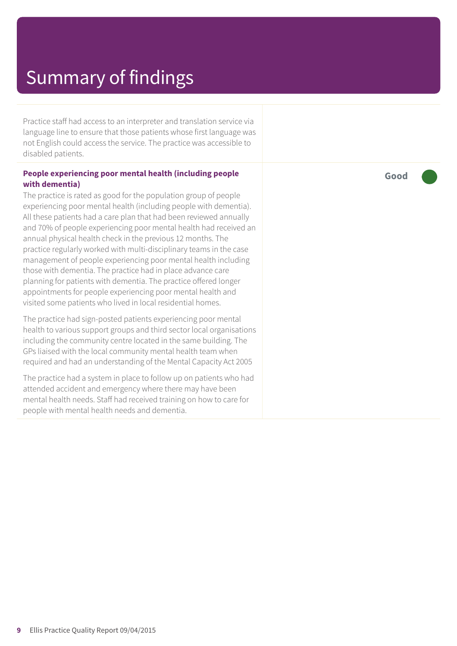### Summary of findings

Practice staff had access to an interpreter and translation service via language line to ensure that those patients whose first language was not English could access the service. The practice was accessible to disabled patients.

#### **People experiencing poor mental health (including people with dementia)**

The practice is rated as good for the population group of people experiencing poor mental health (including people with dementia). All these patients had a care plan that had been reviewed annually and 70% of people experiencing poor mental health had received an annual physical health check in the previous 12 months. The practice regularly worked with multi-disciplinary teams in the case management of people experiencing poor mental health including those with dementia. The practice had in place advance care planning for patients with dementia. The practice offered longer appointments for people experiencing poor mental health and visited some patients who lived in local residential homes.

The practice had sign-posted patients experiencing poor mental health to various support groups and third sector local organisations including the community centre located in the same building. The GPs liaised with the local community mental health team when required and had an understanding of the Mental Capacity Act 2005

The practice had a system in place to follow up on patients who had attended accident and emergency where there may have been mental health needs. Staff had received training on how to care for people with mental health needs and dementia.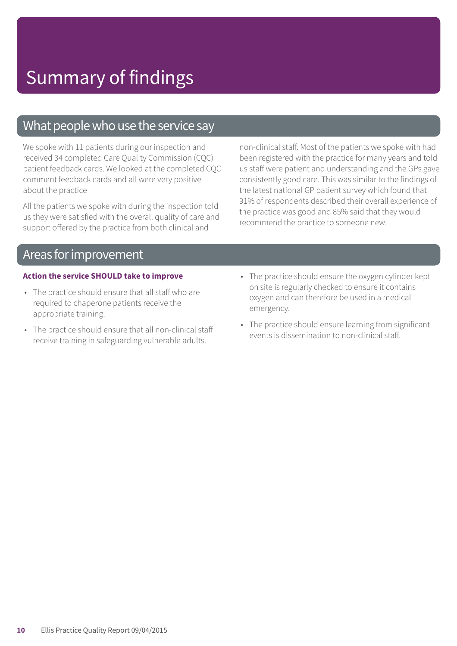### What people who use the service say

We spoke with 11 patients during our inspection and received 34 completed Care Quality Commission (CQC) patient feedback cards. We looked at the completed CQC comment feedback cards and all were very positive about the practice

All the patients we spoke with during the inspection told us they were satisfied with the overall quality of care and support offered by the practice from both clinical and

non-clinical staff. Most of the patients we spoke with had been registered with the practice for many years and told us staff were patient and understanding and the GPs gave consistently good care. This was similar to the findings of the latest national GP patient survey which found that 91% of respondents described their overall experience of the practice was good and 85% said that they would recommend the practice to someone new.

### Areas for improvement

#### **Action the service SHOULD take to improve**

- The practice should ensure that all staff who are required to chaperone patients receive the appropriate training.
- The practice should ensure that all non-clinical staff receive training in safeguarding vulnerable adults.
- The practice should ensure the oxygen cylinder kept on site is regularly checked to ensure it contains oxygen and can therefore be used in a medical emergency.
- The practice should ensure learning from significant events is dissemination to non-clinical staff.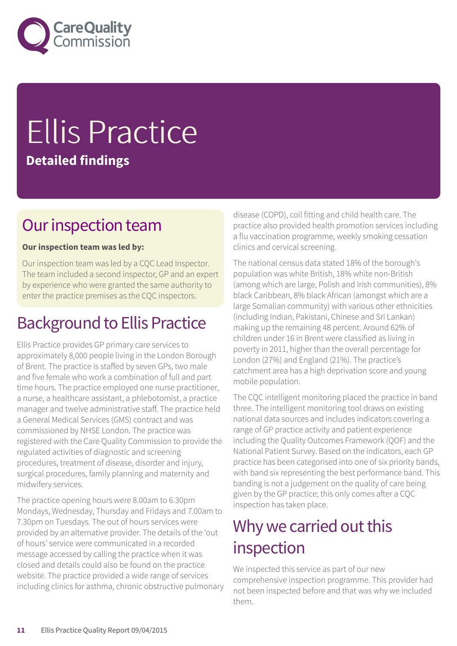

# Ellis Practice **Detailed findings**

### Our inspection team

#### **Our inspection team was led by:**

Our inspection team was led by a CQC Lead Inspector. The team included a second inspector, GP and an expert by experience who were granted the same authority to enter the practice premises as the CQC inspectors.

### **Background to Ellis Practice**

Ellis Practice provides GP primary care services to approximately 8,000 people living in the London Borough of Brent. The practice is staffed by seven GPs, two male and five female who work a combination of full and part time hours. The practice employed one nurse practitioner, a nurse, a healthcare assistant, a phlebotomist, a practice manager and twelve administrative staff. The practice held a General Medical Services (GMS) contract and was commissioned by NHSE London. The practice was registered with the Care Quality Commission to provide the regulated activities of diagnostic and screening procedures, treatment of disease, disorder and injury, surgical procedures, family planning and maternity and midwifery services.

The practice opening hours were 8.00am to 6.30pm Mondays, Wednesday, Thursday and Fridays and 7.00am to 7.30pm on Tuesdays. The out of hours services were provided by an alternative provider. The details of the 'out of hours' service were communicated in a recorded message accessed by calling the practice when it was closed and details could also be found on the practice website. The practice provided a wide range of services including clinics for asthma, chronic obstructive pulmonary disease (COPD), coil fitting and child health care. The practice also provided health promotion services including a flu vaccination programme, weekly smoking cessation clinics and cervical screening.

The national census data stated 18% of the borough's population was white British, 18% white non-British (among which are large, Polish and Irish communities), 8% black Caribbean, 8% black African (amongst which are a large Somalian community) with various other ethnicities (including Indian, Pakistani, Chinese and Sri Lankan) making up the remaining 48 percent. Around 62% of children under 16 in Brent were classified as living in poverty in 2011, higher than the overall percentage for London (27%) and England (21%). The practice's catchment area has a high deprivation score and young mobile population.

The CQC intelligent monitoring placed the practice in band three. The intelligent monitoring tool draws on existing national data sources and includes indicators covering a range of GP practice activity and patient experience including the Quality Outcomes Framework (QOF) and the National Patient Survey. Based on the indicators, each GP practice has been categorised into one of six priority bands, with band six representing the best performance band. This banding is not a judgement on the quality of care being given by the GP practice; this only comes after a CQC inspection has taken place.

### Why we carried out this inspection

We inspected this service as part of our new comprehensive inspection programme. This provider had not been inspected before and that was why we included them.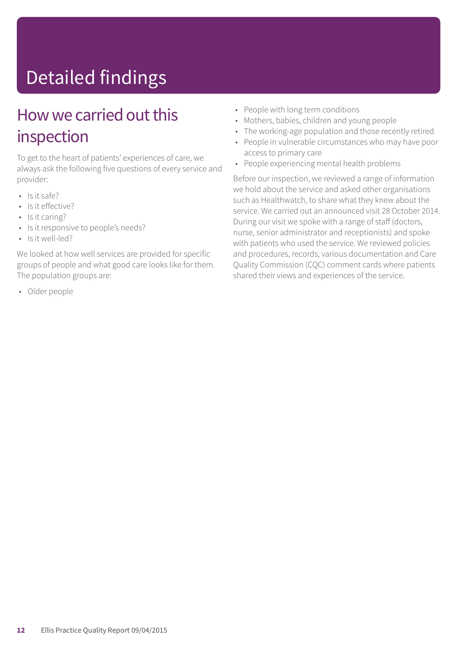# Detailed findings

### How we carried out this inspection

To get to the heart of patients' experiences of care, we always ask the following five questions of every service and provider:

- Is it safe?
- Is it effective?
- Is it caring?
- Is it responsive to people's needs?
- Is it well-led?

We looked at how well services are provided for specific groups of people and what good care looks like for them. The population groups are:

• Older people

- People with long term conditions
- Mothers, babies, children and young people
- The working-age population and those recently retired
- People in vulnerable circumstances who may have poor access to primary care
- People experiencing mental health problems

Before our inspection, we reviewed a range of information we hold about the service and asked other organisations such as Healthwatch, to share what they knew about the service. We carried out an announced visit 28 October 2014. During our visit we spoke with a range of staff (doctors, nurse, senior administrator and receptionists) and spoke with patients who used the service. We reviewed policies and procedures, records, various documentation and Care Quality Commission (CQC) comment cards where patients shared their views and experiences of the service.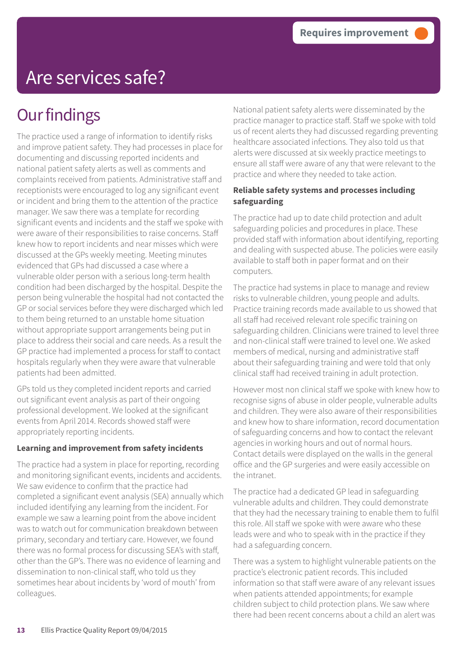### **Our findings**

The practice used a range of information to identify risks and improve patient safety. They had processes in place for documenting and discussing reported incidents and national patient safety alerts as well as comments and complaints received from patients. Administrative staff and receptionists were encouraged to log any significant event or incident and bring them to the attention of the practice manager. We saw there was a template for recording significant events and incidents and the staff we spoke with were aware of their responsibilities to raise concerns. Staff knew how to report incidents and near misses which were discussed at the GPs weekly meeting. Meeting minutes evidenced that GPs had discussed a case where a vulnerable older person with a serious long-term health condition had been discharged by the hospital. Despite the person being vulnerable the hospital had not contacted the GP or social services before they were discharged which led to them being returned to an unstable home situation without appropriate support arrangements being put in place to address their social and care needs. As a result the GP practice had implemented a process for staff to contact hospitals regularly when they were aware that vulnerable patients had been admitted.

GPs told us they completed incident reports and carried out significant event analysis as part of their ongoing professional development. We looked at the significant events from April 2014. Records showed staff were appropriately reporting incidents.

#### **Learning and improvement from safety incidents**

The practice had a system in place for reporting, recording and monitoring significant events, incidents and accidents. We saw evidence to confirm that the practice had completed a significant event analysis (SEA) annually which included identifying any learning from the incident. For example we saw a learning point from the above incident was to watch out for communication breakdown between primary, secondary and tertiary care. However, we found there was no formal process for discussing SEA's with staff, other than the GP's. There was no evidence of learning and dissemination to non-clinical staff, who told us they sometimes hear about incidents by 'word of mouth' from colleagues.

National patient safety alerts were disseminated by the practice manager to practice staff. Staff we spoke with told us of recent alerts they had discussed regarding preventing healthcare associated infections. They also told us that alerts were discussed at six weekly practice meetings to ensure all staff were aware of any that were relevant to the practice and where they needed to take action.

#### **Reliable safety systems and processes including safeguarding**

The practice had up to date child protection and adult safeguarding policies and procedures in place. These provided staff with information about identifying, reporting and dealing with suspected abuse. The policies were easily available to staff both in paper format and on their computers.

The practice had systems in place to manage and review risks to vulnerable children, young people and adults. Practice training records made available to us showed that all staff had received relevant role specific training on safeguarding children. Clinicians were trained to level three and non-clinical staff were trained to level one. We asked members of medical, nursing and administrative staff about their safeguarding training and were told that only clinical staff had received training in adult protection.

However most non clinical staff we spoke with knew how to recognise signs of abuse in older people, vulnerable adults and children. They were also aware of their responsibilities and knew how to share information, record documentation of safeguarding concerns and how to contact the relevant agencies in working hours and out of normal hours. Contact details were displayed on the walls in the general office and the GP surgeries and were easily accessible on the intranet.

The practice had a dedicated GP lead in safeguarding vulnerable adults and children. They could demonstrate that they had the necessary training to enable them to fulfil this role. All staff we spoke with were aware who these leads were and who to speak with in the practice if they had a safeguarding concern.

There was a system to highlight vulnerable patients on the practice's electronic patient records. This included information so that staff were aware of any relevant issues when patients attended appointments; for example children subject to child protection plans. We saw where there had been recent concerns about a child an alert was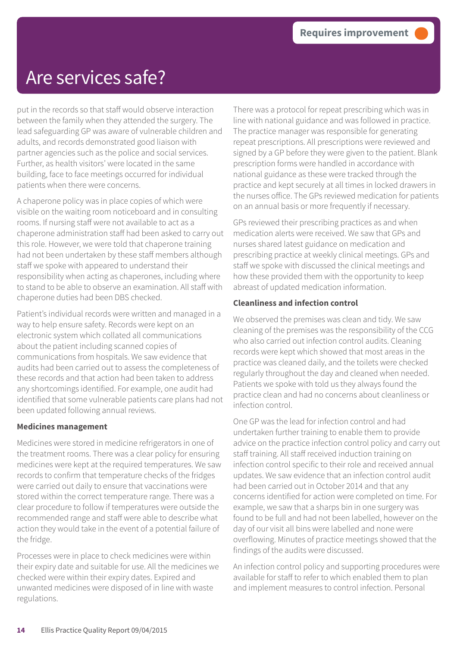put in the records so that staff would observe interaction between the family when they attended the surgery. The lead safeguarding GP was aware of vulnerable children and adults, and records demonstrated good liaison with partner agencies such as the police and social services. Further, as health visitors' were located in the same building, face to face meetings occurred for individual patients when there were concerns.

A chaperone policy was in place copies of which were visible on the waiting room noticeboard and in consulting rooms. If nursing staff were not available to act as a chaperone administration staff had been asked to carry out this role. However, we were told that chaperone training had not been undertaken by these staff members although staff we spoke with appeared to understand their responsibility when acting as chaperones, including where to stand to be able to observe an examination. All staff with chaperone duties had been DBS checked.

Patient's individual records were written and managed in a way to help ensure safety. Records were kept on an electronic system which collated all communications about the patient including scanned copies of communications from hospitals. We saw evidence that audits had been carried out to assess the completeness of these records and that action had been taken to address any shortcomings identified. For example, one audit had identified that some vulnerable patients care plans had not been updated following annual reviews.

#### **Medicines management**

Medicines were stored in medicine refrigerators in one of the treatment rooms. There was a clear policy for ensuring medicines were kept at the required temperatures. We saw records to confirm that temperature checks of the fridges were carried out daily to ensure that vaccinations were stored within the correct temperature range. There was a clear procedure to follow if temperatures were outside the recommended range and staff were able to describe what action they would take in the event of a potential failure of the fridge.

Processes were in place to check medicines were within their expiry date and suitable for use. All the medicines we checked were within their expiry dates. Expired and unwanted medicines were disposed of in line with waste regulations.

There was a protocol for repeat prescribing which was in line with national guidance and was followed in practice. The practice manager was responsible for generating repeat prescriptions. All prescriptions were reviewed and signed by a GP before they were given to the patient. Blank prescription forms were handled in accordance with national guidance as these were tracked through the practice and kept securely at all times in locked drawers in the nurses office. The GPs reviewed medication for patients on an annual basis or more frequently if necessary.

GPs reviewed their prescribing practices as and when medication alerts were received. We saw that GPs and nurses shared latest guidance on medication and prescribing practice at weekly clinical meetings. GPs and staff we spoke with discussed the clinical meetings and how these provided them with the opportunity to keep abreast of updated medication information.

#### **Cleanliness and infection control**

We observed the premises was clean and tidy. We saw cleaning of the premises was the responsibility of the CCG who also carried out infection control audits. Cleaning records were kept which showed that most areas in the practice was cleaned daily, and the toilets were checked regularly throughout the day and cleaned when needed. Patients we spoke with told us they always found the practice clean and had no concerns about cleanliness or infection control.

One GP was the lead for infection control and had undertaken further training to enable them to provide advice on the practice infection control policy and carry out staff training. All staff received induction training on infection control specific to their role and received annual updates. We saw evidence that an infection control audit had been carried out in October 2014 and that any concerns identified for action were completed on time. For example, we saw that a sharps bin in one surgery was found to be full and had not been labelled, however on the day of our visit all bins were labelled and none were overflowing. Minutes of practice meetings showed that the findings of the audits were discussed.

An infection control policy and supporting procedures were available for staff to refer to which enabled them to plan and implement measures to control infection. Personal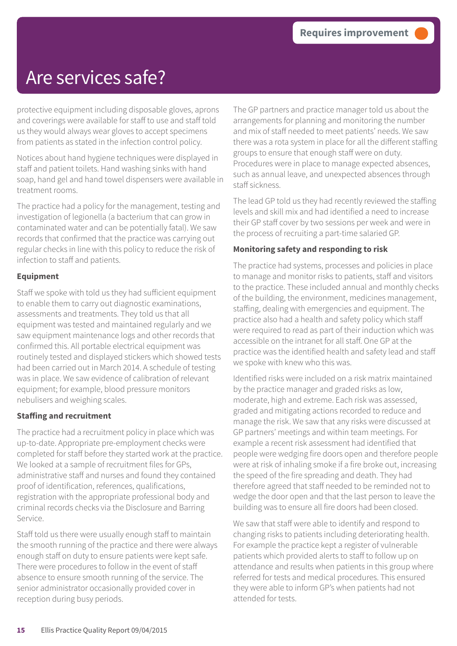protective equipment including disposable gloves, aprons and coverings were available for staff to use and staff told us they would always wear gloves to accept specimens from patients as stated in the infection control policy.

Notices about hand hygiene techniques were displayed in staff and patient toilets. Hand washing sinks with hand soap, hand gel and hand towel dispensers were available in treatment rooms.

The practice had a policy for the management, testing and investigation of legionella (a bacterium that can grow in contaminated water and can be potentially fatal). We saw records that confirmed that the practice was carrying out regular checks in line with this policy to reduce the risk of infection to staff and patients.

#### **Equipment**

Staff we spoke with told us they had sufficient equipment to enable them to carry out diagnostic examinations, assessments and treatments. They told us that all equipment was tested and maintained regularly and we saw equipment maintenance logs and other records that confirmed this. All portable electrical equipment was routinely tested and displayed stickers which showed tests had been carried out in March 2014. A schedule of testing was in place. We saw evidence of calibration of relevant equipment; for example, blood pressure monitors nebulisers and weighing scales.

#### **Staffing and recruitment**

The practice had a recruitment policy in place which was up-to-date. Appropriate pre-employment checks were completed for staff before they started work at the practice. We looked at a sample of recruitment files for GPs, administrative staff and nurses and found they contained proof of identification, references, qualifications, registration with the appropriate professional body and criminal records checks via the Disclosure and Barring Service.

Staff told us there were usually enough staff to maintain the smooth running of the practice and there were always enough staff on duty to ensure patients were kept safe. There were procedures to follow in the event of staff absence to ensure smooth running of the service. The senior administrator occasionally provided cover in reception during busy periods.

The GP partners and practice manager told us about the arrangements for planning and monitoring the number and mix of staff needed to meet patients' needs. We saw there was a rota system in place for all the different staffing groups to ensure that enough staff were on duty. Procedures were in place to manage expected absences, such as annual leave, and unexpected absences through staff sickness.

The lead GP told us they had recently reviewed the staffing levels and skill mix and had identified a need to increase their GP staff cover by two sessions per week and were in the process of recruiting a part-time salaried GP.

#### **Monitoring safety and responding to risk**

The practice had systems, processes and policies in place to manage and monitor risks to patients, staff and visitors to the practice. These included annual and monthly checks of the building, the environment, medicines management, staffing, dealing with emergencies and equipment. The practice also had a health and safety policy which staff were required to read as part of their induction which was accessible on the intranet for all staff. One GP at the practice was the identified health and safety lead and staff we spoke with knew who this was.

Identified risks were included on a risk matrix maintained by the practice manager and graded risks as low, moderate, high and extreme. Each risk was assessed, graded and mitigating actions recorded to reduce and manage the risk. We saw that any risks were discussed at GP partners' meetings and within team meetings. For example a recent risk assessment had identified that people were wedging fire doors open and therefore people were at risk of inhaling smoke if a fire broke out, increasing the speed of the fire spreading and death. They had therefore agreed that staff needed to be reminded not to wedge the door open and that the last person to leave the building was to ensure all fire doors had been closed.

We saw that staff were able to identify and respond to changing risks to patients including deteriorating health. For example the practice kept a register of vulnerable patients which provided alerts to staff to follow up on attendance and results when patients in this group where referred for tests and medical procedures. This ensured they were able to inform GP's when patients had not attended for tests.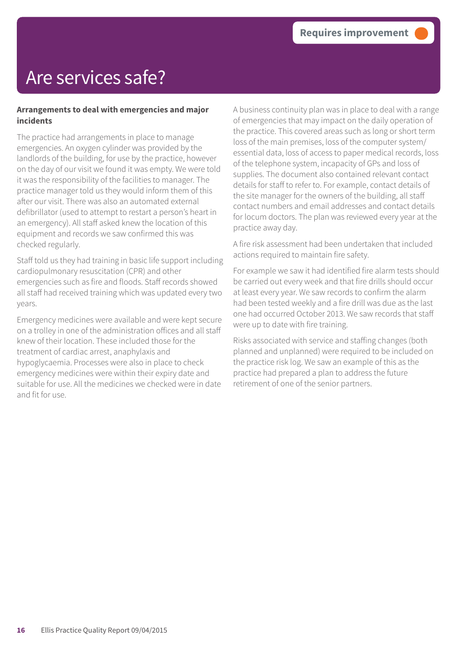#### **Arrangements to deal with emergencies and major incidents**

The practice had arrangements in place to manage emergencies. An oxygen cylinder was provided by the landlords of the building, for use by the practice, however on the day of our visit we found it was empty. We were told it was the responsibility of the facilities to manager. The practice manager told us they would inform them of this after our visit. There was also an automated external defibrillator (used to attempt to restart a person's heart in an emergency). All staff asked knew the location of this equipment and records we saw confirmed this was checked regularly.

Staff told us they had training in basic life support including cardiopulmonary resuscitation (CPR) and other emergencies such as fire and floods. Staff records showed all staff had received training which was updated every two years.

Emergency medicines were available and were kept secure on a trolley in one of the administration offices and all staff knew of their location. These included those for the treatment of cardiac arrest, anaphylaxis and hypoglycaemia. Processes were also in place to check emergency medicines were within their expiry date and suitable for use. All the medicines we checked were in date and fit for use.

A business continuity plan was in place to deal with a range of emergencies that may impact on the daily operation of the practice. This covered areas such as long or short term loss of the main premises, loss of the computer system/ essential data, loss of access to paper medical records, loss of the telephone system, incapacity of GPs and loss of supplies. The document also contained relevant contact details for staff to refer to. For example, contact details of the site manager for the owners of the building, all staff contact numbers and email addresses and contact details for locum doctors. The plan was reviewed every year at the practice away day.

A fire risk assessment had been undertaken that included actions required to maintain fire safety.

For example we saw it had identified fire alarm tests should be carried out every week and that fire drills should occur at least every year. We saw records to confirm the alarm had been tested weekly and a fire drill was due as the last one had occurred October 2013. We saw records that staff were up to date with fire training.

Risks associated with service and staffing changes (both planned and unplanned) were required to be included on the practice risk log. We saw an example of this as the practice had prepared a plan to address the future retirement of one of the senior partners.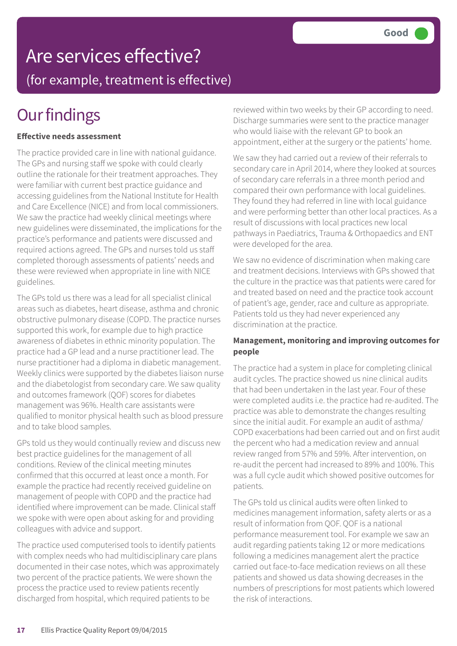### **Our findings**

#### **Effective needs assessment**

The practice provided care in line with national guidance. The GPs and nursing staff we spoke with could clearly outline the rationale for their treatment approaches. They were familiar with current best practice guidance and accessing guidelines from the National Institute for Health and Care Excellence (NICE) and from local commissioners. We saw the practice had weekly clinical meetings where new guidelines were disseminated, the implications for the practice's performance and patients were discussed and required actions agreed. The GPs and nurses told us staff completed thorough assessments of patients' needs and these were reviewed when appropriate in line with NICE guidelines.

The GPs told us there was a lead for all specialist clinical areas such as diabetes, heart disease, asthma and chronic obstructive pulmonary disease (COPD. The practice nurses supported this work, for example due to high practice awareness of diabetes in ethnic minority population. The practice had a GP lead and a nurse practitioner lead. The nurse practitioner had a diploma in diabetic management. Weekly clinics were supported by the diabetes liaison nurse and the diabetologist from secondary care. We saw quality and outcomes framework (QOF) scores for diabetes management was 96%. Health care assistants were qualified to monitor physical health such as blood pressure and to take blood samples.

GPs told us they would continually review and discuss new best practice guidelines for the management of all conditions. Review of the clinical meeting minutes confirmed that this occurred at least once a month. For example the practice had recently received guideline on management of people with COPD and the practice had identified where improvement can be made. Clinical staff we spoke with were open about asking for and providing colleagues with advice and support.

The practice used computerised tools to identify patients with complex needs who had multidisciplinary care plans documented in their case notes, which was approximately two percent of the practice patients. We were shown the process the practice used to review patients recently discharged from hospital, which required patients to be

reviewed within two weeks by their GP according to need. Discharge summaries were sent to the practice manager who would liaise with the relevant GP to book an appointment, either at the surgery or the patients' home.

We saw they had carried out a review of their referrals to secondary care in April 2014, where they looked at sources of secondary care referrals in a three month period and compared their own performance with local guidelines. They found they had referred in line with local guidance and were performing better than other local practices. As a result of discussions with local practices new local pathways in Paediatrics, Trauma & Orthopaedics and ENT were developed for the area.

We saw no evidence of discrimination when making care and treatment decisions. Interviews with GPs showed that the culture in the practice was that patients were cared for and treated based on need and the practice took account of patient's age, gender, race and culture as appropriate. Patients told us they had never experienced any discrimination at the practice.

#### **Management, monitoring and improving outcomes for people**

The practice had a system in place for completing clinical audit cycles. The practice showed us nine clinical audits that had been undertaken in the last year. Four of these were completed audits i.e. the practice had re-audited. The practice was able to demonstrate the changes resulting since the initial audit. For example an audit of asthma/ COPD exacerbations had been carried out and on first audit the percent who had a medication review and annual review ranged from 57% and 59%. After intervention, on re-audit the percent had increased to 89% and 100%. This was a full cycle audit which showed positive outcomes for patients.

The GPs told us clinical audits were often linked to medicines management information, safety alerts or as a result of information from QOF. QOF is a national performance measurement tool. For example we saw an audit regarding patients taking 12 or more medications following a medicines management alert the practice carried out face-to-face medication reviews on all these patients and showed us data showing decreases in the numbers of prescriptions for most patients which lowered the risk of interactions.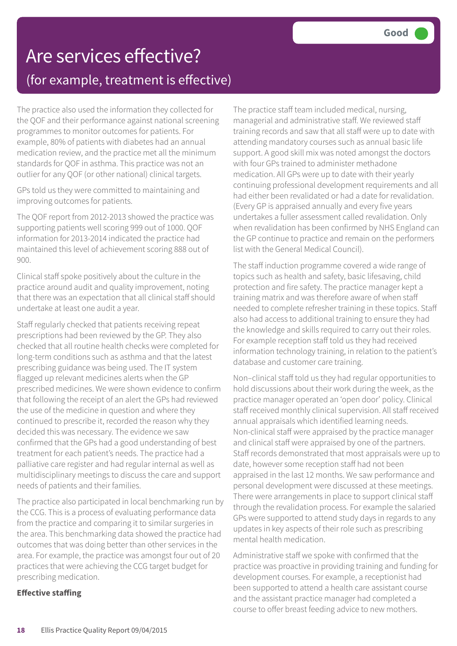The practice also used the information they collected for the QOF and their performance against national screening programmes to monitor outcomes for patients. For example, 80% of patients with diabetes had an annual medication review, and the practice met all the minimum standards for QOF in asthma. This practice was not an outlier for any QOF (or other national) clinical targets.

GPs told us they were committed to maintaining and improving outcomes for patients.

The QOF report from 2012-2013 showed the practice was supporting patients well scoring 999 out of 1000. QOF information for 2013-2014 indicated the practice had maintained this level of achievement scoring 888 out of 900.

Clinical staff spoke positively about the culture in the practice around audit and quality improvement, noting that there was an expectation that all clinical staff should undertake at least one audit a year.

Staff regularly checked that patients receiving repeat prescriptions had been reviewed by the GP. They also checked that all routine health checks were completed for long-term conditions such as asthma and that the latest prescribing guidance was being used. The IT system flagged up relevant medicines alerts when the GP prescribed medicines. We were shown evidence to confirm that following the receipt of an alert the GPs had reviewed the use of the medicine in question and where they continued to prescribe it, recorded the reason why they decided this was necessary. The evidence we saw confirmed that the GPs had a good understanding of best treatment for each patient's needs. The practice had a palliative care register and had regular internal as well as multidisciplinary meetings to discuss the care and support needs of patients and their families.

The practice also participated in local benchmarking run by the CCG. This is a process of evaluating performance data from the practice and comparing it to similar surgeries in the area. This benchmarking data showed the practice had outcomes that was doing better than other services in the area. For example, the practice was amongst four out of 20 practices that were achieving the CCG target budget for prescribing medication.

#### **Effective staffing**

The practice staff team included medical, nursing, managerial and administrative staff. We reviewed staff training records and saw that all staff were up to date with attending mandatory courses such as annual basic life support. A good skill mix was noted amongst the doctors with four GPs trained to administer methadone medication. All GPs were up to date with their yearly continuing professional development requirements and all had either been revalidated or had a date for revalidation. (Every GP is appraised annually and every five years undertakes a fuller assessment called revalidation. Only when revalidation has been confirmed by NHS England can the GP continue to practice and remain on the performers list with the General Medical Council).

The staff induction programme covered a wide range of topics such as health and safety, basic lifesaving, child protection and fire safety. The practice manager kept a training matrix and was therefore aware of when staff needed to complete refresher training in these topics. Staff also had access to additional training to ensure they had the knowledge and skills required to carry out their roles. For example reception staff told us they had received information technology training, in relation to the patient's database and customer care training.

Non–clinical staff told us they had regular opportunities to hold discussions about their work during the week, as the practice manager operated an 'open door' policy. Clinical staff received monthly clinical supervision. All staff received annual appraisals which identified learning needs. Non-clinical staff were appraised by the practice manager and clinical staff were appraised by one of the partners. Staff records demonstrated that most appraisals were up to date, however some reception staff had not been appraised in the last 12 months. We saw performance and personal development were discussed at these meetings. There were arrangements in place to support clinical staff through the revalidation process. For example the salaried GPs were supported to attend study days in regards to any updates in key aspects of their role such as prescribing mental health medication.

Administrative staff we spoke with confirmed that the practice was proactive in providing training and funding for development courses. For example, a receptionist had been supported to attend a health care assistant course and the assistant practice manager had completed a course to offer breast feeding advice to new mothers.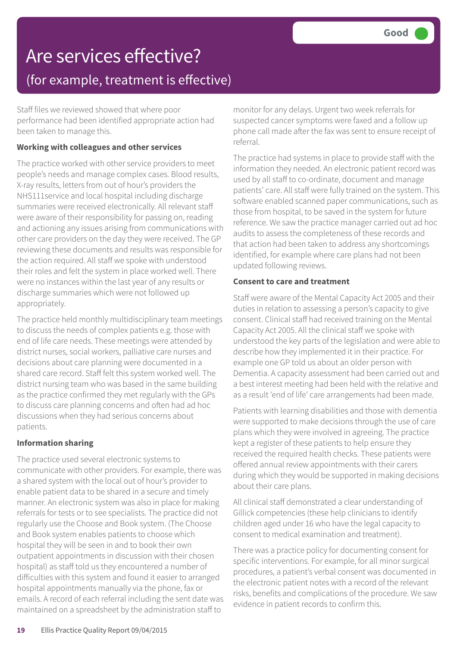Staff files we reviewed showed that where poor performance had been identified appropriate action had been taken to manage this.

#### **Working with colleagues and other services**

The practice worked with other service providers to meet people's needs and manage complex cases. Blood results, X-ray results, letters from out of hour's providers the NHS111service and local hospital including discharge summaries were received electronically. All relevant staff were aware of their responsibility for passing on, reading and actioning any issues arising from communications with other care providers on the day they were received. The GP reviewing these documents and results was responsible for the action required. All staff we spoke with understood their roles and felt the system in place worked well. There were no instances within the last year of any results or discharge summaries which were not followed up appropriately.

The practice held monthly multidisciplinary team meetings to discuss the needs of complex patients e.g. those with end of life care needs. These meetings were attended by district nurses, social workers, palliative care nurses and decisions about care planning were documented in a shared care record. Staff felt this system worked well. The district nursing team who was based in the same building as the practice confirmed they met regularly with the GPs to discuss care planning concerns and often had ad hoc discussions when they had serious concerns about patients.

#### **Information sharing**

The practice used several electronic systems to communicate with other providers. For example, there was a shared system with the local out of hour's provider to enable patient data to be shared in a secure and timely manner. An electronic system was also in place for making referrals for tests or to see specialists. The practice did not regularly use the Choose and Book system. (The Choose and Book system enables patients to choose which hospital they will be seen in and to book their own outpatient appointments in discussion with their chosen hospital) as staff told us they encountered a number of difficulties with this system and found it easier to arranged hospital appointments manually via the phone, fax or emails. A record of each referral including the sent date was maintained on a spreadsheet by the administration staff to

monitor for any delays. Urgent two week referrals for suspected cancer symptoms were faxed and a follow up phone call made after the fax was sent to ensure receipt of referral.

The practice had systems in place to provide staff with the information they needed. An electronic patient record was used by all staff to co-ordinate, document and manage patients' care. All staff were fully trained on the system. This software enabled scanned paper communications, such as those from hospital, to be saved in the system for future reference. We saw the practice manager carried out ad hoc audits to assess the completeness of these records and that action had been taken to address any shortcomings identified, for example where care plans had not been updated following reviews.

#### **Consent to care and treatment**

Staff were aware of the Mental Capacity Act 2005 and their duties in relation to assessing a person's capacity to give consent. Clinical staff had received training on the Mental Capacity Act 2005. All the clinical staff we spoke with understood the key parts of the legislation and were able to describe how they implemented it in their practice. For example one GP told us about an older person with Dementia. A capacity assessment had been carried out and a best interest meeting had been held with the relative and as a result 'end of life' care arrangements had been made.

Patients with learning disabilities and those with dementia were supported to make decisions through the use of care plans which they were involved in agreeing. The practice kept a register of these patients to help ensure they received the required health checks. These patients were offered annual review appointments with their carers during which they would be supported in making decisions about their care plans.

All clinical staff demonstrated a clear understanding of Gillick competencies (these help clinicians to identify children aged under 16 who have the legal capacity to consent to medical examination and treatment).

There was a practice policy for documenting consent for specific interventions. For example, for all minor surgical procedures, a patient's verbal consent was documented in the electronic patient notes with a record of the relevant risks, benefits and complications of the procedure. We saw evidence in patient records to confirm this.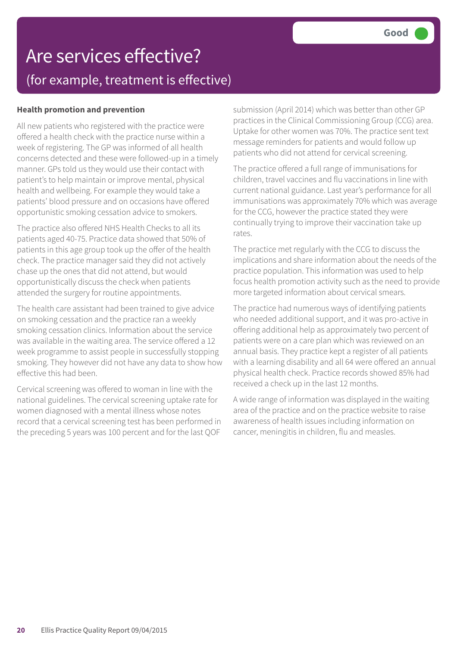#### **Health promotion and prevention**

All new patients who registered with the practice were offered a health check with the practice nurse within a week of registering. The GP was informed of all health concerns detected and these were followed-up in a timely manner. GPs told us they would use their contact with patient's to help maintain or improve mental, physical health and wellbeing. For example they would take a patients' blood pressure and on occasions have offered opportunistic smoking cessation advice to smokers.

The practice also offered NHS Health Checks to all its patients aged 40-75. Practice data showed that 50% of patients in this age group took up the offer of the health check. The practice manager said they did not actively chase up the ones that did not attend, but would opportunistically discuss the check when patients attended the surgery for routine appointments.

The health care assistant had been trained to give advice on smoking cessation and the practice ran a weekly smoking cessation clinics. Information about the service was available in the waiting area. The service offered a 12 week programme to assist people in successfully stopping smoking. They however did not have any data to show how effective this had been.

Cervical screening was offered to woman in line with the national guidelines. The cervical screening uptake rate for women diagnosed with a mental illness whose notes record that a cervical screening test has been performed in the preceding 5 years was 100 percent and for the last QOF

submission (April 2014) which was better than other GP practices in the Clinical Commissioning Group (CCG) area. Uptake for other women was 70%. The practice sent text message reminders for patients and would follow up patients who did not attend for cervical screening.

The practice offered a full range of immunisations for children, travel vaccines and flu vaccinations in line with current national guidance. Last year's performance for all immunisations was approximately 70% which was average for the CCG, however the practice stated they were continually trying to improve their vaccination take up rates.

The practice met regularly with the CCG to discuss the implications and share information about the needs of the practice population. This information was used to help focus health promotion activity such as the need to provide more targeted information about cervical smears.

The practice had numerous ways of identifying patients who needed additional support, and it was pro-active in offering additional help as approximately two percent of patients were on a care plan which was reviewed on an annual basis. They practice kept a register of all patients with a learning disability and all 64 were offered an annual physical health check. Practice records showed 85% had received a check up in the last 12 months.

A wide range of information was displayed in the waiting area of the practice and on the practice website to raise awareness of health issues including information on cancer, meningitis in children, flu and measles.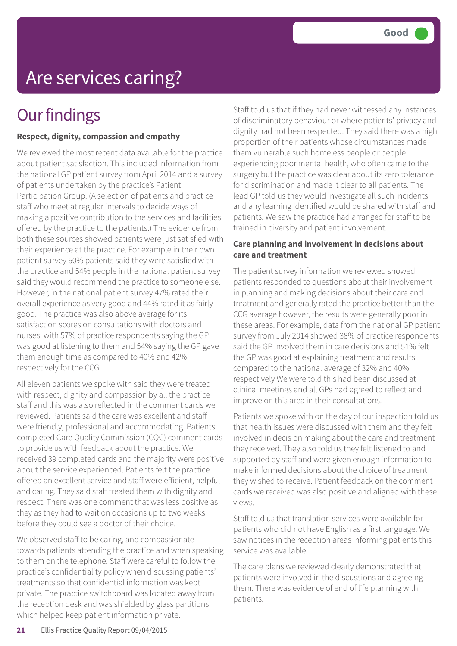# Are services caring?

### **Our findings**

#### **Respect, dignity, compassion and empathy**

We reviewed the most recent data available for the practice about patient satisfaction. This included information from the national GP patient survey from April 2014 and a survey of patients undertaken by the practice's Patient Participation Group. (A selection of patients and practice staff who meet at regular intervals to decide ways of making a positive contribution to the services and facilities offered by the practice to the patients.) The evidence from both these sources showed patients were just satisfied with their experience at the practice. For example in their own patient survey 60% patients said they were satisfied with the practice and 54% people in the national patient survey said they would recommend the practice to someone else. However, in the national patient survey 47% rated their overall experience as very good and 44% rated it as fairly good. The practice was also above average for its satisfaction scores on consultations with doctors and nurses, with 57% of practice respondents saying the GP was good at listening to them and 54% saying the GP gave them enough time as compared to 40% and 42% respectively for the CCG.

All eleven patients we spoke with said they were treated with respect, dignity and compassion by all the practice staff and this was also reflected in the comment cards we reviewed. Patients said the care was excellent and staff were friendly, professional and accommodating. Patients completed Care Quality Commission (CQC) comment cards to provide us with feedback about the practice. We received 39 completed cards and the majority were positive about the service experienced. Patients felt the practice offered an excellent service and staff were efficient, helpful and caring. They said staff treated them with dignity and respect. There was one comment that was less positive as they as they had to wait on occasions up to two weeks before they could see a doctor of their choice.

We observed staff to be caring, and compassionate towards patients attending the practice and when speaking to them on the telephone. Staff were careful to follow the practice's confidentiality policy when discussing patients' treatments so that confidential information was kept private. The practice switchboard was located away from the reception desk and was shielded by glass partitions which helped keep patient information private.

Staff told us that if they had never witnessed any instances of discriminatory behaviour or where patients' privacy and dignity had not been respected. They said there was a high proportion of their patients whose circumstances made them vulnerable such homeless people or people experiencing poor mental health, who often came to the surgery but the practice was clear about its zero tolerance for discrimination and made it clear to all patients. The lead GP told us they would investigate all such incidents and any learning identified would be shared with staff and patients. We saw the practice had arranged for staff to be trained in diversity and patient involvement.

#### **Care planning and involvement in decisions about care and treatment**

The patient survey information we reviewed showed patients responded to questions about their involvement in planning and making decisions about their care and treatment and generally rated the practice better than the CCG average however, the results were generally poor in these areas. For example, data from the national GP patient survey from July 2014 showed 38% of practice respondents said the GP involved them in care decisions and 51% felt the GP was good at explaining treatment and results compared to the national average of 32% and 40% respectively We were told this had been discussed at clinical meetings and all GPs had agreed to reflect and improve on this area in their consultations.

Patients we spoke with on the day of our inspection told us that health issues were discussed with them and they felt involved in decision making about the care and treatment they received. They also told us they felt listened to and supported by staff and were given enough information to make informed decisions about the choice of treatment they wished to receive. Patient feedback on the comment cards we received was also positive and aligned with these views.

Staff told us that translation services were available for patients who did not have English as a first language. We saw notices in the reception areas informing patients this service was available.

The care plans we reviewed clearly demonstrated that patients were involved in the discussions and agreeing them. There was evidence of end of life planning with patients.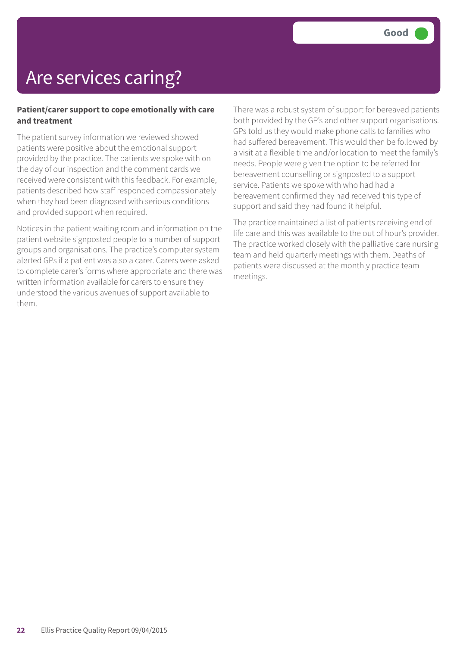# Are services caring?

#### **Patient/carer support to cope emotionally with care and treatment**

The patient survey information we reviewed showed patients were positive about the emotional support provided by the practice. The patients we spoke with on the day of our inspection and the comment cards we received were consistent with this feedback. For example, patients described how staff responded compassionately when they had been diagnosed with serious conditions and provided support when required.

Notices in the patient waiting room and information on the patient website signposted people to a number of support groups and organisations. The practice's computer system alerted GPs if a patient was also a carer. Carers were asked to complete carer's forms where appropriate and there was written information available for carers to ensure they understood the various avenues of support available to them.

There was a robust system of support for bereaved patients both provided by the GP's and other support organisations. GPs told us they would make phone calls to families who had suffered bereavement. This would then be followed by a visit at a flexible time and/or location to meet the family's needs. People were given the option to be referred for bereavement counselling or signposted to a support service. Patients we spoke with who had had a bereavement confirmed they had received this type of support and said they had found it helpful.

The practice maintained a list of patients receiving end of life care and this was available to the out of hour's provider. The practice worked closely with the palliative care nursing team and held quarterly meetings with them. Deaths of patients were discussed at the monthly practice team meetings.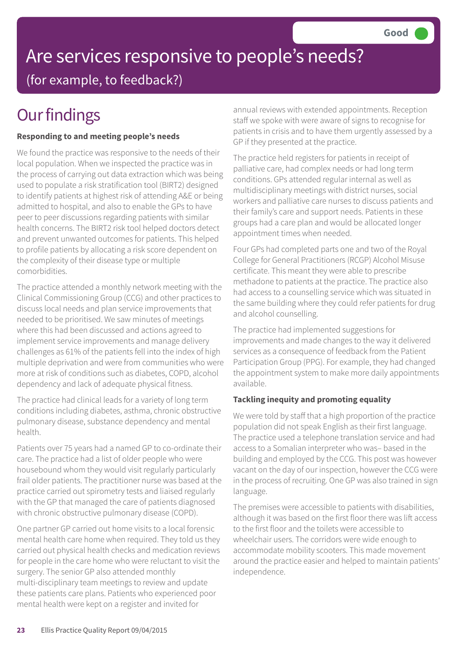# Are services responsive to people's needs? (for example, to feedback?)

### **Our findings**

#### **Responding to and meeting people's needs**

We found the practice was responsive to the needs of their local population. When we inspected the practice was in the process of carrying out data extraction which was being used to populate a risk stratification tool (BIRT2) designed to identify patients at highest risk of attending A&E or being admitted to hospital, and also to enable the GPs to have peer to peer discussions regarding patients with similar health concerns. The BIRT2 risk tool helped doctors detect and prevent unwanted outcomes for patients. This helped to profile patients by allocating a risk score dependent on the complexity of their disease type or multiple comorbidities.

The practice attended a monthly network meeting with the Clinical Commissioning Group (CCG) and other practices to discuss local needs and plan service improvements that needed to be prioritised. We saw minutes of meetings where this had been discussed and actions agreed to implement service improvements and manage delivery challenges as 61% of the patients fell into the index of high multiple deprivation and were from communities who were more at risk of conditions such as diabetes, COPD, alcohol dependency and lack of adequate physical fitness.

The practice had clinical leads for a variety of long term conditions including diabetes, asthma, chronic obstructive pulmonary disease, substance dependency and mental health.

Patients over 75 years had a named GP to co-ordinate their care. The practice had a list of older people who were housebound whom they would visit regularly particularly frail older patients. The practitioner nurse was based at the practice carried out spirometry tests and liaised regularly with the GP that managed the care of patients diagnosed with chronic obstructive pulmonary disease (COPD).

One partner GP carried out home visits to a local forensic mental health care home when required. They told us they carried out physical health checks and medication reviews for people in the care home who were reluctant to visit the surgery. The senior GP also attended monthly multi-disciplinary team meetings to review and update these patients care plans. Patients who experienced poor mental health were kept on a register and invited for

annual reviews with extended appointments. Reception staff we spoke with were aware of signs to recognise for patients in crisis and to have them urgently assessed by a GP if they presented at the practice.

The practice held registers for patients in receipt of palliative care, had complex needs or had long term conditions. GPs attended regular internal as well as multidisciplinary meetings with district nurses, social workers and palliative care nurses to discuss patients and their family's care and support needs. Patients in these groups had a care plan and would be allocated longer appointment times when needed.

Four GPs had completed parts one and two of the Royal College for General Practitioners (RCGP) Alcohol Misuse certificate. This meant they were able to prescribe methadone to patients at the practice. The practice also had access to a counselling service which was situated in the same building where they could refer patients for drug and alcohol counselling.

The practice had implemented suggestions for improvements and made changes to the way it delivered services as a consequence of feedback from the Patient Participation Group (PPG). For example, they had changed the appointment system to make more daily appointments available.

#### **Tackling inequity and promoting equality**

We were told by staff that a high proportion of the practice population did not speak English as their first language. The practice used a telephone translation service and had access to a Somalian interpreter who was– based in the building and employed by the CCG. This post was however vacant on the day of our inspection, however the CCG were in the process of recruiting. One GP was also trained in sign language.

The premises were accessible to patients with disabilities, although it was based on the first floor there was lift access to the first floor and the toilets were accessible to wheelchair users. The corridors were wide enough to accommodate mobility scooters. This made movement around the practice easier and helped to maintain patients' independence.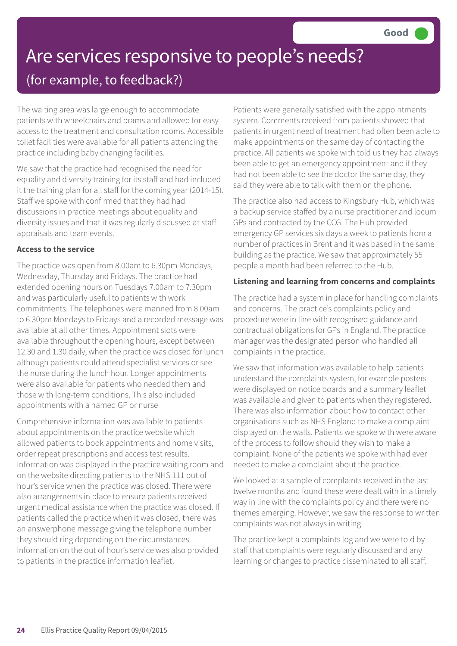### Are services responsive to people's needs? (for example, to feedback?)

The waiting area was large enough to accommodate patients with wheelchairs and prams and allowed for easy access to the treatment and consultation rooms. Accessible toilet facilities were available for all patients attending the practice including baby changing facilities.

We saw that the practice had recognised the need for equality and diversity training for its staff and had included it the training plan for all staff for the coming year (2014-15). Staff we spoke with confirmed that they had had discussions in practice meetings about equality and diversity issues and that it was regularly discussed at staff appraisals and team events.

#### **Access to the service**

The practice was open from 8.00am to 6.30pm Mondays, Wednesday, Thursday and Fridays. The practice had extended opening hours on Tuesdays 7.00am to 7.30pm and was particularly useful to patients with work commitments. The telephones were manned from 8.00am to 6.30pm Mondays to Fridays and a recorded message was available at all other times. Appointment slots were available throughout the opening hours, except between 12.30 and 1.30 daily, when the practice was closed for lunch although patients could attend specialist services or see the nurse during the lunch hour. Longer appointments were also available for patients who needed them and those with long-term conditions. This also included appointments with a named GP or nurse

Comprehensive information was available to patients about appointments on the practice website which allowed patients to book appointments and home visits, order repeat prescriptions and access test results. Information was displayed in the practice waiting room and on the website directing patients to the NHS 111 out of hour's service when the practice was closed. There were also arrangements in place to ensure patients received urgent medical assistance when the practice was closed. If patients called the practice when it was closed, there was an answerphone message giving the telephone number they should ring depending on the circumstances. Information on the out of hour's service was also provided to patients in the practice information leaflet.

Patients were generally satisfied with the appointments system. Comments received from patients showed that patients in urgent need of treatment had often been able to make appointments on the same day of contacting the practice. All patients we spoke with told us they had always been able to get an emergency appointment and if they had not been able to see the doctor the same day, they said they were able to talk with them on the phone.

The practice also had access to Kingsbury Hub, which was a backup service staffed by a nurse practitioner and locum GPs and contracted by the CCG. The Hub provided emergency GP services six days a week to patients from a number of practices in Brent and it was based in the same building as the practice. We saw that approximately 55 people a month had been referred to the Hub.

#### **Listening and learning from concerns and complaints**

The practice had a system in place for handling complaints and concerns. The practice's complaints policy and procedure were in line with recognised guidance and contractual obligations for GPs in England. The practice manager was the designated person who handled all complaints in the practice.

We saw that information was available to help patients understand the complaints system, for example posters were displayed on notice boards and a summary leaflet was available and given to patients when they registered. There was also information about how to contact other organisations such as NHS England to make a complaint displayed on the walls. Patients we spoke with were aware of the process to follow should they wish to make a complaint. None of the patients we spoke with had ever needed to make a complaint about the practice.

We looked at a sample of complaints received in the last twelve months and found these were dealt with in a timely way in line with the complaints policy and there were no themes emerging. However, we saw the response to written complaints was not always in writing.

The practice kept a complaints log and we were told by staff that complaints were regularly discussed and any learning or changes to practice disseminated to all staff.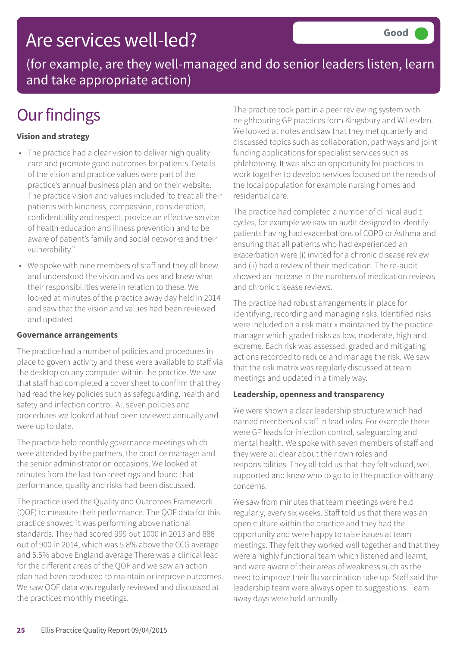### Are services well-led?

(for example, are they well-managed and do senior leaders listen, learn and take appropriate action)

### **Our findings**

#### **Vision and strategy**

- The practice had a clear vision to deliver high quality care and promote good outcomes for patients. Details of the vision and practice values were part of the practice's annual business plan and on their website. The practice vision and values included 'to treat all their patients with kindness, compassion, consideration, confidentiality and respect, provide an effective service of health education and illness prevention and to be aware of patient's family and social networks and their vulnerability."
- We spoke with nine members of staff and they all knew and understood the vision and values and knew what their responsibilities were in relation to these. We looked at minutes of the practice away day held in 2014 and saw that the vision and values had been reviewed and updated.

#### **Governance arrangements**

The practice had a number of policies and procedures in place to govern activity and these were available to staff via the desktop on any computer within the practice. We saw that staff had completed a cover sheet to confirm that they had read the key policies such as safeguarding, health and safety and infection control. All seven policies and procedures we looked at had been reviewed annually and were up to date.

The practice held monthly governance meetings which were attended by the partners, the practice manager and the senior administrator on occasions. We looked at minutes from the last two meetings and found that performance, quality and risks had been discussed.

The practice used the Quality and Outcomes Framework (QOF) to measure their performance. The QOF data for this practice showed it was performing above national standards. They had scored 999 out 1000 in 2013 and 888 out of 900 in 2014, which was 5.8% above the CCG average and 5.5% above England average There was a clinical lead for the different areas of the QOF and we saw an action plan had been produced to maintain or improve outcomes. We saw QOF data was regularly reviewed and discussed at the practices monthly meetings.

The practice took part in a peer reviewing system with neighbouring GP practices form Kingsbury and Willesden. We looked at notes and saw that they met quarterly and discussed topics such as collaboration, pathways and joint funding applications for specialist services such as phlebotomy. It was also an opportunity for practices to work together to develop services focused on the needs of the local population for example nursing homes and residential care.

The practice had completed a number of clinical audit cycles, for example we saw an audit designed to identify patients having had exacerbations of COPD or Asthma and ensuring that all patients who had experienced an exacerbation were (i) invited for a chronic disease review and (ii) had a review of their medication. The re-audit showed an increase in the numbers of medication reviews and chronic disease reviews.

The practice had robust arrangements in place for identifying, recording and managing risks. Identified risks were included on a risk matrix maintained by the practice manager which graded risks as low, moderate, high and extreme. Each risk was assessed, graded and mitigating actions recorded to reduce and manage the risk. We saw that the risk matrix was regularly discussed at team meetings and updated in a timely way.

#### **Leadership, openness and transparency**

We were shown a clear leadership structure which had named members of staff in lead roles. For example there were GP leads for infection control, safeguarding and mental health. We spoke with seven members of staff and they were all clear about their own roles and responsibilities. They all told us that they felt valued, well supported and knew who to go to in the practice with any concerns.

We saw from minutes that team meetings were held regularly, every six weeks. Staff told us that there was an open culture within the practice and they had the opportunity and were happy to raise issues at team meetings. They felt they worked well together and that they were a highly functional team which listened and learnt, and were aware of their areas of weakness such as the need to improve their flu vaccination take up. Staff said the leadership team were always open to suggestions. Team away days were held annually.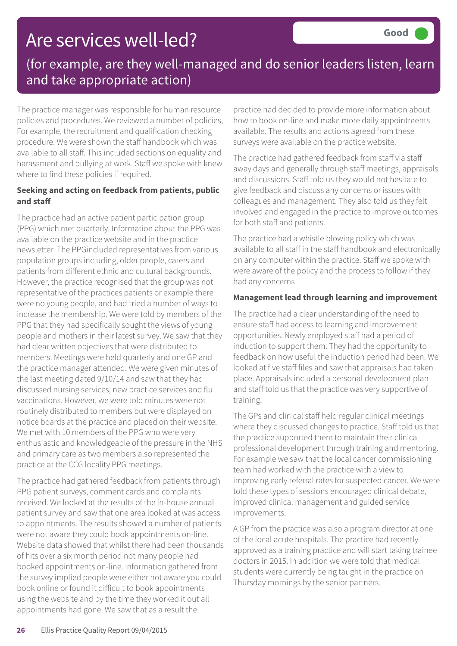### Are services well-led?

### (for example, are they well-managed and do senior leaders listen, learn and take appropriate action)

The practice manager was responsible for human resource policies and procedures. We reviewed a number of policies, For example, the recruitment and qualification checking procedure. We were shown the staff handbook which was available to all staff. This included sections on equality and harassment and bullying at work. Staff we spoke with knew where to find these policies if required.

#### **Seeking and acting on feedback from patients, public and staff**

The practice had an active patient participation group (PPG) which met quarterly. Information about the PPG was available on the practice website and in the practice newsletter. The PPGincluded representatives from various population groups including, older people, carers and patients from different ethnic and cultural backgrounds. However, the practice recognised that the group was not representative of the practices patients or example there were no young people, and had tried a number of ways to increase the membership. We were told by members of the PPG that they had specifically sought the views of young people and mothers in their latest survey. We saw that they had clear written objectives that were distributed to members. Meetings were held quarterly and one GP and the practice manager attended. We were given minutes of the last meeting dated 9/10/14 and saw that they had discussed nursing services, new practice services and flu vaccinations. However, we were told minutes were not routinely distributed to members but were displayed on notice boards at the practice and placed on their website. We met with 10 members of the PPG who were very enthusiastic and knowledgeable of the pressure in the NHS and primary care as two members also represented the practice at the CCG locality PPG meetings.

The practice had gathered feedback from patients through PPG patient surveys, comment cards and complaints received. We looked at the results of the in-house annual patient survey and saw that one area looked at was access to appointments. The results showed a number of patients were not aware they could book appointments on-line. Website data showed that whilst there had been thousands of hits over a six month period not many people had booked appointments on-line. Information gathered from the survey implied people were either not aware you could book online or found it difficult to book appointments using the website and by the time they worked it out all appointments had gone. We saw that as a result the

practice had decided to provide more information about how to book on-line and make more daily appointments available. The results and actions agreed from these surveys were available on the practice website.

The practice had gathered feedback from staff via staff away days and generally through staff meetings, appraisals and discussions. Staff told us they would not hesitate to give feedback and discuss any concerns or issues with colleagues and management. They also told us they felt involved and engaged in the practice to improve outcomes for both staff and patients.

The practice had a whistle blowing policy which was available to all staff in the staff handbook and electronically on any computer within the practice. Staff we spoke with were aware of the policy and the process to follow if they had any concerns

#### **Management lead through learning and improvement**

The practice had a clear understanding of the need to ensure staff had access to learning and improvement opportunities. Newly employed staff had a period of induction to support them. They had the opportunity to feedback on how useful the induction period had been. We looked at five staff files and saw that appraisals had taken place. Appraisals included a personal development plan and staff told us that the practice was very supportive of training.

The GPs and clinical staff held regular clinical meetings where they discussed changes to practice. Staff told us that the practice supported them to maintain their clinical professional development through training and mentoring. For example we saw that the local cancer commissioning team had worked with the practice with a view to improving early referral rates for suspected cancer. We were told these types of sessions encouraged clinical debate, improved clinical management and guided service improvements.

A GP from the practice was also a program director at one of the local acute hospitals. The practice had recently approved as a training practice and will start taking trainee doctors in 2015. In addition we were told that medical students were currently being taught in the practice on Thursday mornings by the senior partners.